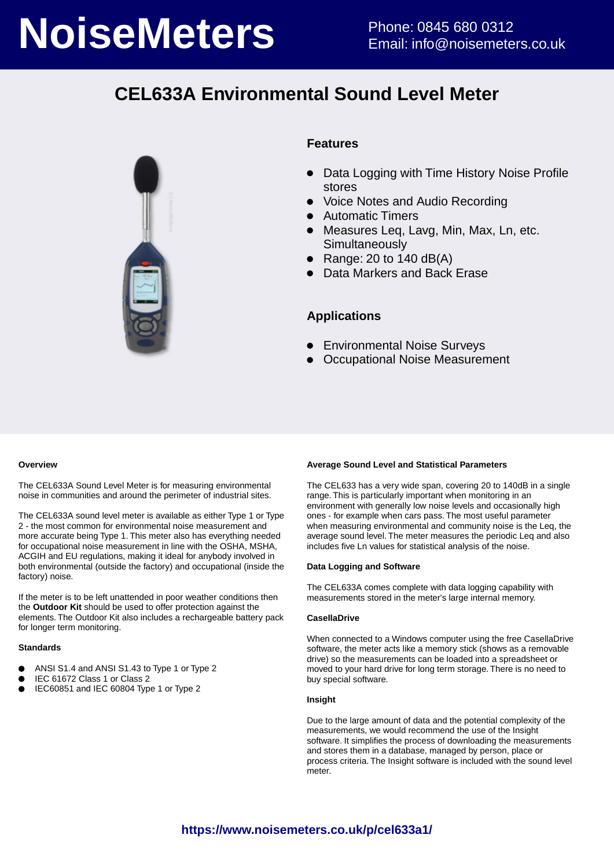# **NoiseMeters** Phone: 0845 680 0312

# **CEL633A Environmental Sound Level Meter**



## **Features**

- Data Logging with Time History Noise Profile stores
- Voice Notes and Audio Recording
- Automatic Timers
- Measures Leq, Lavg, Min, Max, Ln, etc. **Simultaneously**
- Range: 20 to  $140$  dB(A)
- Data Markers and Back Erase

## **Applications**

- Environmental Noise Surveys
- Occupational Noise Measurement

#### **Overview**

The CEL633A Sound Level Meter is for measuring environmental noise in communities and around the perimeter of industrial sites.

The CEL633A sound level meter is available as either Type 1 or Type 2 - the most common for environmental noise measurement and more accurate being Type 1. This meter also has everything needed for occupational noise measurement in line with the OSHA, MSHA, ACGIH and EU regulations, making it ideal for anybody involved in both environmental (outside the factory) and occupational (inside the factory) noise.

If the meter is to be left unattended in poor weather conditions then the **Outdoor Kit** should be used to offer protection against the elements. The Outdoor Kit also includes a rechargeable battery pack for longer term monitoring.

#### **Standards**

- ANSI S1.4 and ANSI S1.43 to Type 1 or Type 2
- IEC 61672 Class 1 or Class 2
- $\bullet$ IEC60851 and IEC 60804 Type 1 or Type 2

#### **Average Sound Level and Statistical Parameters**

The CEL633 has a very wide span, covering 20 to 140dB in a single range. This is particularly important when monitoring in an environment with generally low noise levels and occasionally high ones - for example when cars pass. The most useful parameter when measuring environmental and community noise is the Leq, the average sound level. The meter measures the periodic Leq and also includes five Ln values for statistical analysis of the noise.

#### **Data Logging and Software**

The CEL633A comes complete with data logging capability with measurements stored in the meter's large internal memory.

#### **CasellaDrive**

When connected to a Windows computer using the free CasellaDrive software, the meter acts like a memory stick (shows as a removable drive) so the measurements can be loaded into a spreadsheet or moved to your hard drive for long term storage. There is no need to buy special software.

#### **Insight**

Due to the large amount of data and the potential complexity of the measurements, we would recommend the use of the Insight software. It simplifies the process of downloading the measurements and stores them in a database, managed by person, place or process criteria. The Insight software is included with the sound level meter.